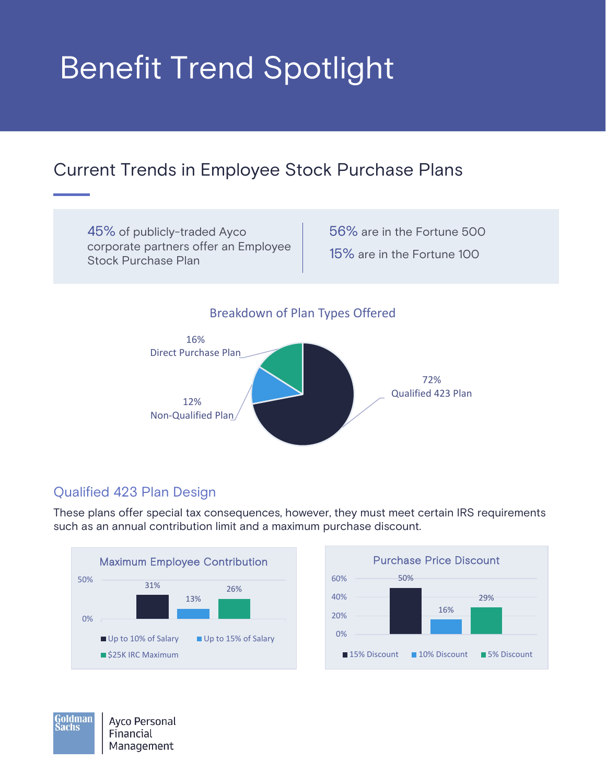# Benefit Trend Spotlight

# Current Trends in Employee Stock Purchase Plans

45% of publicly-traded Ayco corporate partners offer an Employee Stock Purchase Plan

56% are in the Fortune 500 15% are in the Fortune 100

# Breakdown of Plan Types Offered



# Qualified 423 Plan Design

These plans offer special tax consequences, however, they must meet certain IRS requirements such as an annual contribution limit and a maximum purchase discount.





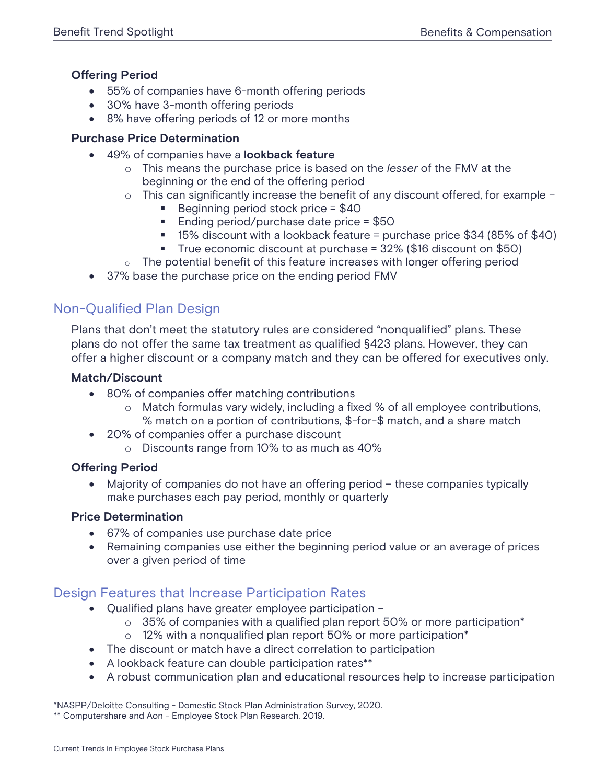## **Offering Period**

- 55% of companies have 6-month offering periods
- 30% have 3-month offering periods
- 8% have offering periods of 12 or more months

#### **Purchase Price Determination**

- 49% of companies have a **lookback feature**
	- o This means the purchase price is based on the *lesser* of the FMV at the beginning or the end of the offering period
	- o This can significantly increase the benefit of any discount offered, for example
		- Beginning period stock price  $= $40$
		- Ending period/purchase date price  $= $50$
		- $\blacksquare$  15% discount with a lookback feature = purchase price \$34 (85% of \$40)
		- True economic discount at purchase = 32% (\$16 discount on \$50)
	- $\circ$  The potential benefit of this feature increases with longer offering period
- 37% base the purchase price on the ending period FMV

# Non-Qualified Plan Design

Plans that don't meet the statutory rules are considered "nonqualified" plans. These plans do not offer the same tax treatment as qualified §423 plans. However, they can offer a higher discount or a company match and they can be offered for executives only.

#### **Match/Discount**

- 80% of companies offer matching contributions
	- o Match formulas vary widely, including a fixed % of all employee contributions, % match on a portion of contributions, \$-for-\$ match, and a share match
- 20% of companies offer a purchase discount
	- o Discounts range from 10% to as much as 40%

### **Offering Period**

Majority of companies do not have an offering period - these companies typically make purchases each pay period, monthly or quarterly

#### **Price Determination**

- 67% of companies use purchase date price
- Remaining companies use either the beginning period value or an average of prices over a given period of time

# Design Features that Increase Participation Rates

- Qualified plans have greater employee participation
	- $\circ$  35% of companies with a qualified plan report 50% or more participation<sup>\*</sup>
	- o 12% with a nonqualified plan report 50% or more participation\*
- The discount or match have a direct correlation to participation
- A lookback feature can double participation rates\*\*
- A robust communication plan and educational resources help to increase participation

\*NASPP/Deloitte Consulting - Domestic Stock Plan Administration Survey, 2020. \*\* Computershare and Aon - Employee Stock Plan Research, 2019.